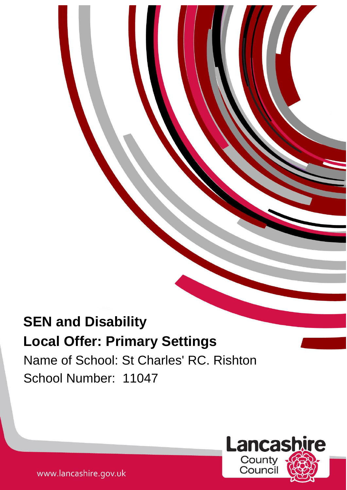# **SEN and Disability Local Offer: Primary Settings**

Name of School: St Charles' RC. Rishton School Number: 11047

1



www.lancashire.gov.uk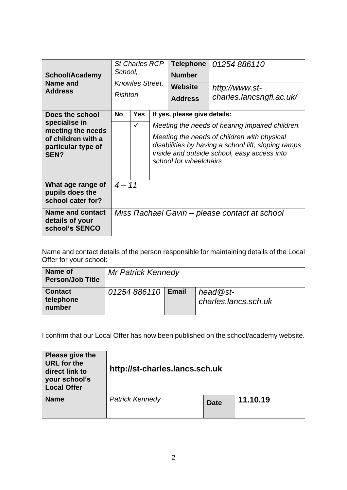| <b>School/Academy</b><br>Name and<br><b>Address</b>                                                       | <b>St Charles RCP</b><br>School,<br><b>Knowles Street,</b><br>Rishton |              | <b>Telephone</b><br><b>Number</b><br><b>Website</b><br><b>Address</b>                                                                                                       | 01254886110<br>http://www.st-<br>charles.lancsngfl.ac.uk/ |  |  |  |
|-----------------------------------------------------------------------------------------------------------|-----------------------------------------------------------------------|--------------|-----------------------------------------------------------------------------------------------------------------------------------------------------------------------------|-----------------------------------------------------------|--|--|--|
| Does the school<br>specialise in<br>meeting the needs<br>of children with a<br>particular type of<br>SEN? | <b>No</b>                                                             | <b>Yes</b>   |                                                                                                                                                                             | If yes, please give details:                              |  |  |  |
|                                                                                                           |                                                                       | $\checkmark$ |                                                                                                                                                                             | Meeting the needs of hearing impaired children.           |  |  |  |
|                                                                                                           |                                                                       |              | Meeting the needs of children with physical<br>disabilities by having a school lift, sloping ramps<br>inside and outside school, easy access into<br>school for wheelchairs |                                                           |  |  |  |
| What age range of<br>pupils does the<br>school cater for?                                                 | $4 - 11$                                                              |              |                                                                                                                                                                             |                                                           |  |  |  |
| <b>Name and contact</b><br>details of your<br>school's SENCO                                              | Miss Rachael Gavin - please contact at school                         |              |                                                                                                                                                                             |                                                           |  |  |  |

Name and contact details of the person responsible for maintaining details of the Local Offer for your school:

| Name of<br><b>Person/Job Title</b>    | <b>Mr Patrick Kennedy</b> |              |                                    |  |  |  |
|---------------------------------------|---------------------------|--------------|------------------------------------|--|--|--|
| <b>Contact</b><br>telephone<br>number | 01254 886110              | <b>Email</b> | $head@st-$<br>charles.lancs.sch.uk |  |  |  |

I confirm that our Local Offer has now been published on the school/academy website.

| Please give the<br><b>URL</b> for the<br>direct link to<br>your school's<br><b>Local Offer</b> | http://st-charles.lancs.sch.uk |             |          |  |  |  |
|------------------------------------------------------------------------------------------------|--------------------------------|-------------|----------|--|--|--|
| <b>Name</b>                                                                                    | <b>Patrick Kennedy</b>         | <b>Date</b> | 11.10.19 |  |  |  |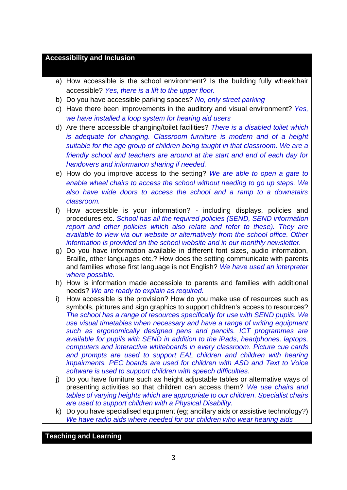# **Accessibility and Inclusion**

- a) How accessible is the school environment? Is the building fully wheelchair accessible? *Yes, there is a lift to the upper floor.*
- b) Do you have accessible parking spaces? *No, only street parking*
- c) Have there been improvements in the auditory and visual environment? *Yes, we have installed a loop system for hearing aid users*
- d) Are there accessible changing/toilet facilities? *There is a disabled toilet which is adequate for changing. Classroom furniture is modern and of a height suitable for the age group of children being taught in that classroom. We are a friendly school and teachers are around at the start and end of each day for handovers and information sharing if needed.*
- e) How do you improve access to the setting? *We are able to open a gate to enable wheel chairs to access the school without needing to go up steps. We also have wide doors to access the school and a ramp to a downstairs classroom.*
- f) How accessible is your information? including displays, policies and procedures etc. *School has all the required policies (SEND, SEND information report and other policies which also relate and refer to these). They are available to view via our website or alternatively from the school office. Other information is provided on the school website and in our monthly newsletter.*
- g) Do you have information available in different font sizes, audio information, Braille, other languages etc.? How does the setting communicate with parents and families whose first language is not English? *We have used an interpreter where possible.*
- h) How is information made accessible to parents and families with additional needs? *We are ready to explain as required.*
- i) How accessible is the provision? How do you make use of resources such as symbols, pictures and sign graphics to support children's access to resources? *The school has a range of resources specifically for use with SEND pupils. We use visual timetables when necessary and have a range of writing equipment such as ergonomically designed pens and pencils. ICT programmes are available for pupils with SEND in addition to the iPads, headphones, laptops, computers and interactive whiteboards in every classroom. Picture cue cards*  and prompts are used to support EAL children and children with hearing *impairments. PEC boards are used for children with ASD and Text to Voice software is used to support children with speech difficulties.*
- j) Do you have furniture such as height adjustable tables or alternative ways of presenting activities so that children can access them? *We use chairs and tables of varying heights which are appropriate to our children. Specialist chairs are used to support children with a Physical Disability.*
- k) Do you have specialised equipment (eg; ancillary aids or assistive technology?) *We have radio aids where needed for our children who wear hearing aids*

# **Teaching and Learning**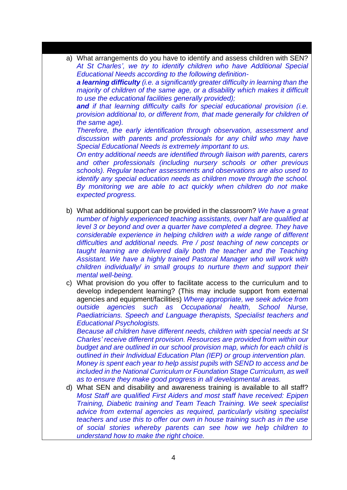a) What arrangements do you have to identify and assess children with SEN? *At St Charles', we try to identify children who have Additional Special Educational Needs according to the following definition-*

*a learning difficulty (i.e. a significantly greater difficulty in learning than the majority of children of the same age, or a disability which makes it difficult to use the educational facilities generally provided);* 

*and if that learning difficulty calls for special educational provision (i.e. provision additional to, or different from, that made generally for children of the same age).* 

*Therefore, the early identification through observation, assessment and discussion with parents and professionals for any child who may have Special Educational Needs is extremely important to us.*

*On entry additional needs are identified through liaison with parents, carers and other professionals (including nursery schools or other previous schools). Regular teacher assessments and observations are also used to identify any special education needs as children move through the school. By monitoring we are able to act quickly when children do not make expected progress.* 

- b) What additional support can be provided in the classroom? *We have a great number of highly experienced teaching assistants, over half are qualified at level 3 or beyond and over a quarter have completed a degree. They have considerable experience in helping children with a wide range of different difficulties and additional needs. Pre / post teaching of new concepts or taught learning are delivered daily both the teacher and the Teaching Assistant. We have a highly trained Pastoral Manager who will work with children individually/ in small groups to nurture them and support their mental well-being.*
- c) What provision do you offer to facilitate access to the curriculum and to develop independent learning? (This may include support from external agencies and equipment/facilities) *Where appropriate, we seek advice from outside agencies such as Occupational health, School Nurse, Paediatricians. Speech and Language therapists, Specialist teachers and Educational Psychologists.*

*Because all children have different needs, children with special needs at St Charles' receive different provision. Resources are provided from within our budget and are outlined in our school provision map, which for each child is outlined in their Individual Education Plan (IEP) or group intervention plan. Money is spent each year to help assist pupils with SEND to access and be included in the National Curriculum or Foundation Stage Curriculum, as well as to ensure they make good progress in all developmental areas.*

d) What SEN and disability and awareness training is available to all staff? *Most Staff are qualified First Aiders and most staff have received: Epipen Training, Diabetic training and Team Teach Training. We seek specialist advice from external agencies as required, particularly visiting specialist teachers and use this to offer our own in house training such as in the use of social stories whereby parents can see how we help children to understand how to make the right choice.*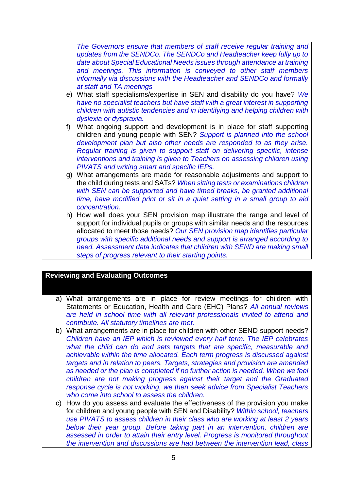*The Governors ensure that members of staff receive regular training and updates from the SENDCo. The SENDCo and Headteacher keep fully up to date about Special Educational Needs issues through attendance at training and meetings. This information is conveyed to other staff members informally via discussions with the Headteacher and SENDCo and formally at staff and TA meetings* 

- e) What staff specialisms/expertise in SEN and disability do you have? *We have no specialist teachers but have staff with a great interest in supporting children with autistic tendencies and in identifying and helping children with dyslexia or dyspraxia.*
- f) What ongoing support and development is in place for staff supporting children and young people with SEN? *Support is planned into the school development plan but also other needs are responded to as they arise. Regular training is given to support staff on delivering specific, intense interventions and training is given to Teachers on assessing children using PIVATS and writing smart and specific IEPs.*
- g) What arrangements are made for reasonable adjustments and support to the child during tests and SATs? *When sitting tests or examinations children with SEN can be supported and have timed breaks, be granted additional time, have modified print or sit in a quiet setting in a small group to aid concentration.*
- h) How well does your SEN provision map illustrate the range and level of support for individual pupils or groups with similar needs and the resources allocated to meet those needs? *Our SEN provision map identifies particular groups with specific additional needs and support is arranged according to need. Assessment data indicates that children with SEND are making small steps of progress relevant to their starting points.*

## **Reviewing and Evaluating Outcomes**

- a) What arrangements are in place for review meetings for children with Statements or Education, Health and Care (EHC) Plans? *All annual reviews are held in school time with all relevant professionals invited to attend and contribute. All statutory timelines are met.*
- b) What arrangements are in place for children with other SEND support needs? *Children have an IEP which is reviewed every half term. The IEP celebrates*  what the child can do and sets targets that are specific, measurable and *achievable within the time allocated. Each term progress is discussed against targets and in relation to peers. Targets, strategies and provision are amended as needed or the plan is completed if no further action is needed. When we feel children are not making progress against their target and the Graduated response cycle is not working, we then seek advice from Specialist Teachers who come into school to assess the children.*
- c) How do you assess and evaluate the effectiveness of the provision you make for children and young people with SEN and Disability? *Within school, teachers use PIVATS to assess children in their class who are working at least 2 years below their year group. Before taking part in an intervention, children are assessed in order to attain their entry level. Progress is monitored throughout the intervention and discussions are had between the intervention lead, class*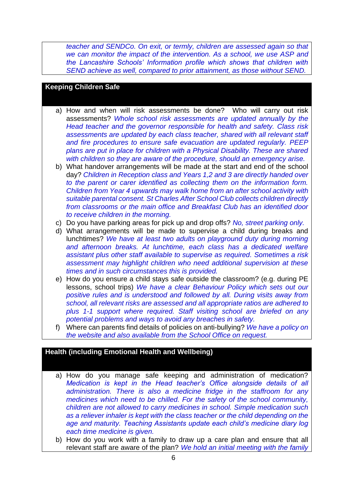*teacher and SENDCo. On exit, or termly, children are assessed again so that we can monitor the impact of the intervention. As a school, we use ASP and the Lancashire Schools' Information profile which shows that children with SEND achieve as well, compared to prior attainment, as those without SEND.* 

#### **Keeping Children Safe**

- a) How and when will risk assessments be done? Who will carry out risk assessments? *Whole school risk assessments are updated annually by the Head teacher and the governor responsible for health and safety. Class risk assessments are updated by each class teacher, shared with all relevant staff and fire procedures to ensure safe evacuation are updated regularly. PEEP plans are put in place for children with a Physical Disability. These are shared with children so they are aware of the procedure, should an emergency arise.*
- b) What handover arrangements will be made at the start and end of the school day? *Children in Reception class and Years 1,2 and 3 are directly handed over to the parent or carer identified as collecting them on the information form. Children from Year 4 upwards may walk home from an after school activity with suitable parental consent. St Charles After School Club collects children directly from classrooms or the main office and Breakfast Club has an identified door to receive children in the morning.*
- c) Do you have parking areas for pick up and drop offs? *No, street parking only.*
- d) What arrangements will be made to supervise a child during breaks and lunchtimes? *We have at least two adults on playground duty during morning and afternoon breaks. At lunchtime, each class has a dedicated welfare assistant plus other staff available to supervise as required. Sometimes a risk assessment may highlight children who need additional supervision at these times and in such circumstances this is provided.*
- e) How do you ensure a child stays safe outside the classroom? (e.g. during PE lessons, school trips) *We have a clear Behaviour Policy which sets out our positive rules and is understood and followed by all. During visits away from school, all relevant risks are assessed and all appropriate ratios are adhered to plus 1-1 support where required. Staff visiting school are briefed on any potential problems and ways to avoid any breaches in safety.*
- f) Where can parents find details of policies on anti-bullying? *We have a policy on the website and also available from the School Office on request.*

# **Health (including Emotional Health and Wellbeing)**

- a) How do you manage safe keeping and administration of medication? *Medication is kept in the Head teacher's Office alongside details of all administration. There is also a medicine fridge in the staffroom for any medicines which need to be chilled. For the safety of the school community, children are not allowed to carry medicines in school. Simple medication such as a reliever inhaler is kept with the class teacher or the child depending on the age and maturity. Teaching Assistants update each child's medicine diary log each time medicine is given.*
- b) How do you work with a family to draw up a care plan and ensure that all relevant staff are aware of the plan? *We hold an initial meeting with the family*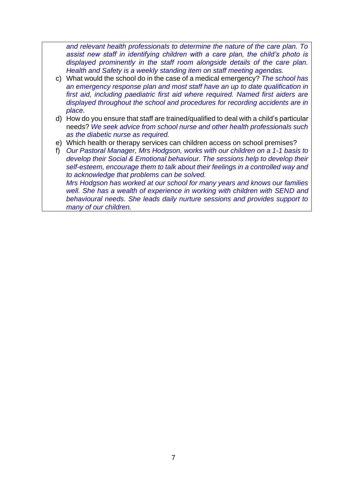*and relevant health professionals to determine the nature of the care plan. To assist new staff in identifying children with a care plan, the child's photo is displayed prominently in the staff room alongside details of the care plan. Health and Safety is a weekly standing item on staff meeting agendas.*

- c) What would the school do in the case of a medical emergency? *The school has an emergency response plan and most staff have an up to date qualification in first aid, including paediatric first aid where required. Named first aiders are displayed throughout the school and procedures for recording accidents are in place.*
- d) How do you ensure that staff are trained/qualified to deal with a child's particular needs? *We seek advice from school nurse and other health professionals such as the diabetic nurse as required.*
- e) Which health or therapy services can children access on school premises?
- f) *Our Pastoral Manager, Mrs Hodgson, works with our children on a 1-1 basis to develop their Social & Emotional behaviour. The sessions help to develop their self-esteem, encourage them to talk about their feelings in a controlled way and to acknowledge that problems can be solved. Mrs Hodgson has worked at our school for many years and knows our families well. She has a wealth of experience in working with children with SEND and behavioural needs. She leads daily nurture sessions and provides support to*

*many of our children.*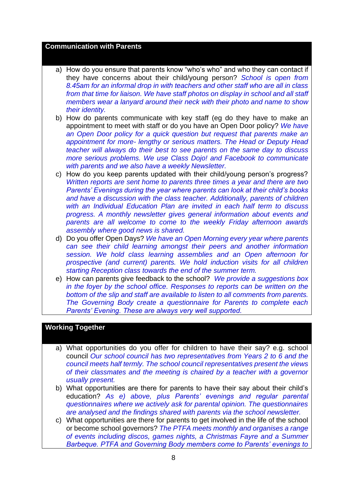#### **Communication with Parents**

- a) How do you ensure that parents know "who's who" and who they can contact if they have concerns about their child/young person? *School is open from 8.45am for an informal drop in with teachers and other staff who are all in class from that time for liaison. We have staff photos on display in school and all staff members wear a lanyard around their neck with their photo and name to show their identity.*
- b) How do parents communicate with key staff (eg do they have to make an appointment to meet with staff or do you have an Open Door policy? *We have an Open Door policy for a quick question but request that parents make an appointment for more- lengthy or serious matters. The Head or Deputy Head teacher will always do their best to see parents on the same day to discuss more serious problems. We use Class Dojo! and Facebook to communicate with parents and we also have a weekly Newsletter.*
- c) How do you keep parents updated with their child/young person's progress? *Written reports are sent home to parents three times a year and there are two Parents' Evenings during the year where parents can look at their child's books and have a discussion with the class teacher. Additionally, parents of children with an Individual Education Plan are invited in each half term to discuss progress. A monthly newsletter gives general information about events and parents are all welcome to come to the weekly Friday afternoon awards assembly where good news is shared.*
- d) Do you offer Open Days? *We have an Open Morning every year where parents can see their child learning amongst their peers and another information session. We hold class learning assemblies and an Open afternoon for prospective (and current) parents. We hold induction visits for all children starting Reception class towards the end of the summer term.*
- e) How can parents give feedback to the school? *We provide a suggestions box in the foyer by the school office. Responses to reports can be written on the bottom of the slip and staff are available to listen to all comments from parents. The Governing Body create a questionnaire for Parents to complete each Parents' Evening. These are always very well supported.*

## **Working Together**

- a) What opportunities do you offer for children to have their say? e.g. school council *Our school council has two representatives from Years 2 to 6 and the council meets half termly. The school council representatives present the views of their classmates and the meeting is chaired by a teacher with a governor usually present.*
- b) What opportunities are there for parents to have their say about their child's education? *As e) above, plus Parents' evenings and regular parental questionnaires where we actively ask for parental opinion. The questionnaires are analysed and the findings shared with parents via the school newsletter.*
- c) What opportunities are there for parents to get involved in the life of the school or become school governors? *The PTFA meets monthly and organises a range of events including discos, games nights, a Christmas Fayre and a Summer Barbeque. PTFA and Governing Body members come to Parents' evenings to*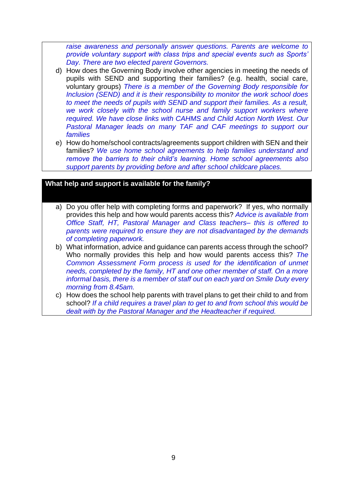*raise awareness and personally answer questions. Parents are welcome to provide voluntary support with class trips and special events such as Sports' Day. There are two elected parent Governors.*

- d) How does the Governing Body involve other agencies in meeting the needs of pupils with SEND and supporting their families? (e.g. health, social care, voluntary groups) *There is a member of the Governing Body responsible for Inclusion (SEND) and it is their responsibility to monitor the work school does to meet the needs of pupils with SEND and support their families. As a result, we work closely with the school nurse and family support workers where required. We have close links with CAHMS and Child Action North West. Our*  **Pastoral Manager leads on many TAF and CAF meetings to support our** *families*
- e) How do home/school contracts/agreements support children with SEN and their families? *We use home school agreements to help families understand and remove the barriers to their child's learning. Home school agreements also support parents by providing before and after school childcare places.*

#### **What help and support is available for the family?**

- a) Do you offer help with completing forms and paperwork? If yes, who normally provides this help and how would parents access this? *Advice is available from Office Staff, HT, Pastoral Manager and Class teachers– this is offered to parents were required to ensure they are not disadvantaged by the demands of completing paperwork.*
- b) What information, advice and guidance can parents access through the school? Who normally provides this help and how would parents access this? *The Common Assessment Form process is used for the identification of unmet needs, completed by the family, HT and one other member of staff. On a more informal basis, there is a member of staff out on each yard on Smile Duty every morning from 8.45am.*
- c) How does the school help parents with travel plans to get their child to and from school? *If a child requires a travel plan to get to and from school this would be dealt with by the Pastoral Manager and the Headteacher if required.*